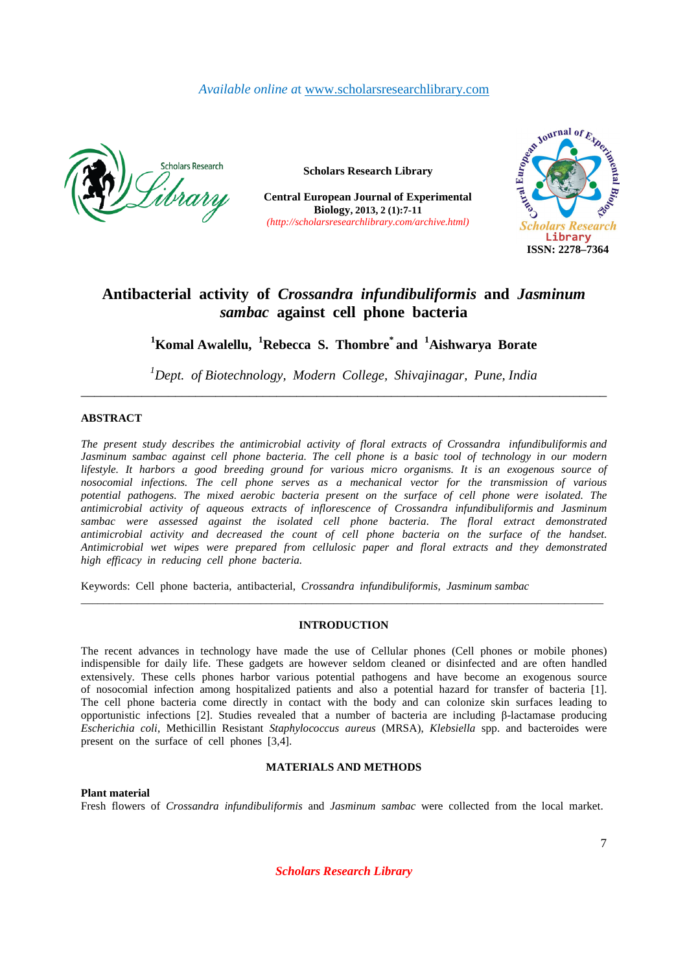## *Available online a*t www.scholarsresearchlibrary.com



**Scholars Research Library**

**Central European Journal of Experimental Biology, 2013, 2 (1):7-11**  *(http://scholarsresearchlibrary.com/archive.html)*



# **Antibacterial activity of** *Crossandra infundibuliformis* **and** *Jasminum sambac* **against cell phone bacteria**

**<sup>1</sup>Komal Awalellu, <sup>1</sup>Rebecca S. Thombre\* and <sup>1</sup>Aishwarya Borate** 

*<sup>1</sup>Dept. of Biotechnology, Modern College, Shivajinagar, Pune, India \_\_\_\_\_\_\_\_\_\_\_\_\_\_\_\_\_\_\_\_\_\_\_\_\_\_\_\_\_\_\_\_\_\_\_\_\_\_\_\_\_\_\_\_\_\_\_\_\_\_\_\_\_\_\_\_\_\_\_\_\_\_\_\_\_\_\_\_\_\_\_\_\_\_\_\_\_\_* 

## **ABSTRACT**

*The present study describes the antimicrobial activity of floral extracts of Crossandra infundibuliformis and Jasminum sambac against cell phone bacteria. The cell phone is a basic tool of technology in our modern lifestyle. It harbors a good breeding ground for various micro organisms. It is an exogenous source of nosocomial infections. The cell phone serves as a mechanical vector for the transmission of various potential pathogens. The mixed aerobic bacteria present on the surface of cell phone were isolated. The antimicrobial activity of aqueous extracts of inflorescence of Crossandra infundibuliformis and Jasminum sambac were assessed against the isolated cell phone bacteria. The floral extract demonstrated antimicrobial activity and decreased the count of cell phone bacteria on the surface of the handset. Antimicrobial wet wipes were prepared from cellulosic paper and floral extracts and they demonstrated high efficacy in reducing cell phone bacteria.* 

Keywords: Cell phone bacteria, antibacterial, *Crossandra infundibuliformis, Jasminum sambac* 

## **INTRODUCTION**

*\_\_\_\_\_\_\_\_\_\_\_\_\_\_\_\_\_\_\_\_\_\_\_\_\_\_\_\_\_\_\_\_\_\_\_\_\_\_\_\_\_\_\_\_\_\_\_\_\_\_\_\_\_\_\_\_\_\_\_\_\_\_\_\_\_\_\_\_\_\_\_\_\_\_\_\_\_\_\_\_\_\_\_\_\_\_\_\_\_\_\_\_\_*

The recent advances in technology have made the use of Cellular phones (Cell phones or mobile phones) indispensible for daily life. These gadgets are however seldom cleaned or disinfected and are often handled extensively. These cells phones harbor various potential pathogens and have become an exogenous source of nosocomial infection among hospitalized patients and also a potential hazard for transfer of bacteria [1]. The cell phone bacteria come directly in contact with the body and can colonize skin surfaces leading to opportunistic infections [2]. Studies revealed that a number of bacteria are including β-lactamase producing *Escherichia coli*, Methicillin Resistant *Staphylococcus aureus* (MRSA), *Klebsiella* spp. and bacteroides were present on the surface of cell phones [3,4].

## **MATERIALS AND METHODS**

## **Plant material**

Fresh flowers of *Crossandra infundibuliformis* and *Jasminum sambac* were collected from the local market.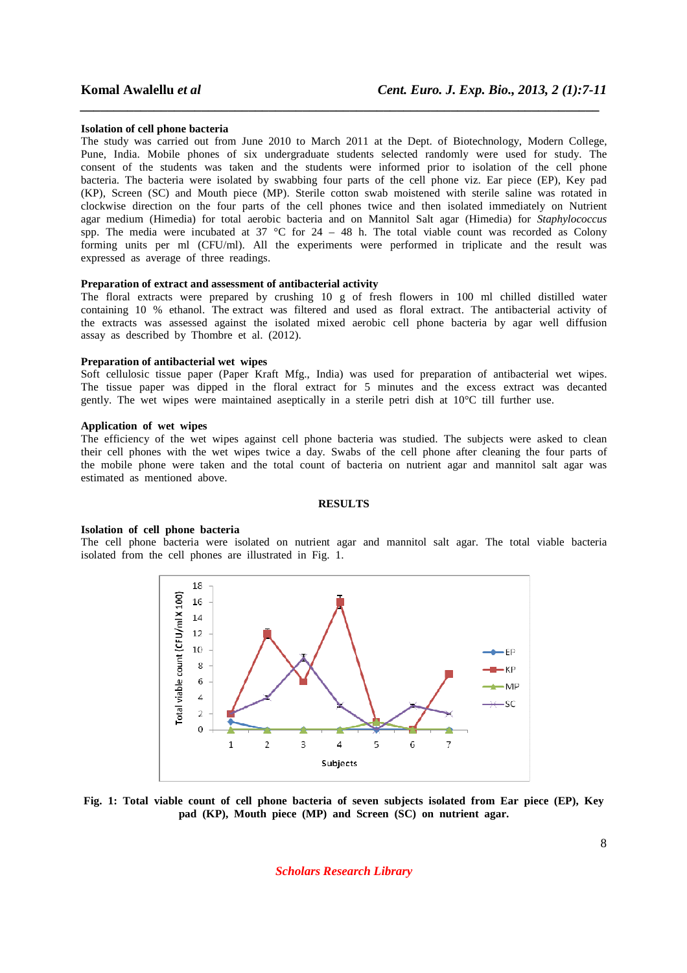#### **Isolation of cell phone bacteria**

The study was carried out from June 2010 to March 2011 at the Dept. of Biotechnology, Modern College, Pune, India. Mobile phones of six undergraduate students selected randomly were used for study. The consent of the students was taken and the students were informed prior to isolation of the cell phone bacteria. The bacteria were isolated by swabbing four parts of the cell phone viz. Ear piece (EP), Key pad (KP), Screen (SC) and Mouth piece (MP). Sterile cotton swab moistened with sterile saline was rotated in clockwise direction on the four parts of the cell phones twice and then isolated immediately on Nutrient agar medium (Himedia) for total aerobic bacteria and on Mannitol Salt agar (Himedia) for *Staphylococcus*  spp. The media were incubated at  $37 \text{ °C}$  for  $24 - 48$  h. The total viable count was recorded as Colony forming units per ml (CFU/ml). All the experiments were performed in triplicate and the result was expressed as average of three readings.

*\_\_\_\_\_\_\_\_\_\_\_\_\_\_\_\_\_\_\_\_\_\_\_\_\_\_\_\_\_\_\_\_\_\_\_\_\_\_\_\_\_\_\_\_\_\_\_\_\_\_\_\_\_\_\_\_\_\_\_\_\_\_\_\_\_\_\_\_\_\_\_\_\_\_\_\_\_*

## **Preparation of extract and assessment of antibacterial activity**

The floral extracts were prepared by crushing 10 g of fresh flowers in 100 ml chilled distilled water containing 10 % ethanol. The extract was filtered and used as floral extract. The antibacterial activity of the extracts was assessed against the isolated mixed aerobic cell phone bacteria by agar well diffusion assay as described by Thombre et al. (2012).

### **Preparation of antibacterial wet wipes**

Soft cellulosic tissue paper (Paper Kraft Mfg., India) was used for preparation of antibacterial wet wipes. The tissue paper was dipped in the floral extract for 5 minutes and the excess extract was decanted gently. The wet wipes were maintained aseptically in a sterile petri dish at 10°C till further use.

## **Application of wet wipes**

The efficiency of the wet wipes against cell phone bacteria was studied. The subjects were asked to clean their cell phones with the wet wipes twice a day. Swabs of the cell phone after cleaning the four parts of the mobile phone were taken and the total count of bacteria on nutrient agar and mannitol salt agar was estimated as mentioned above.

## **RESULTS**

## **Isolation of cell phone bacteria**

The cell phone bacteria were isolated on nutrient agar and mannitol salt agar. The total viable bacteria isolated from the cell phones are illustrated in Fig. 1.



**Fig. 1: Total viable count of cell phone bacteria of seven subjects isolated from Ear piece (EP), Key pad (KP), Mouth piece (MP) and Screen (SC) on nutrient agar.**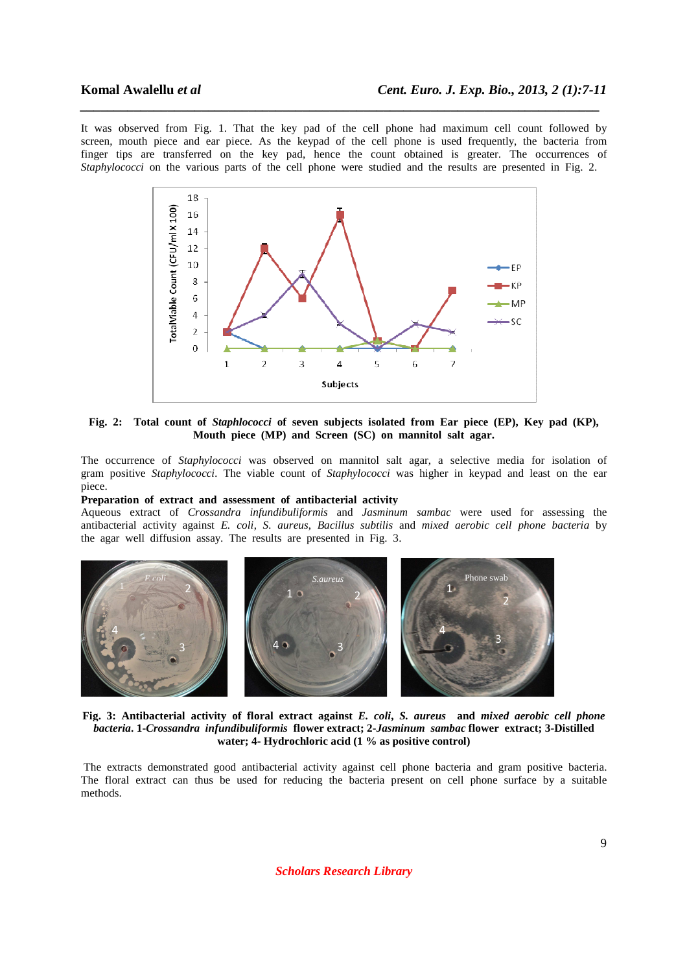It was observed from Fig. 1. That the key pad of the cell phone had maximum cell count followed by screen, mouth piece and ear piece. As the keypad of the cell phone is used frequently, the bacteria from finger tips are transferred on the key pad, hence the count obtained is greater. The occurrences of *Staphylococci* on the various parts of the cell phone were studied and the results are presented in Fig. 2.

*\_\_\_\_\_\_\_\_\_\_\_\_\_\_\_\_\_\_\_\_\_\_\_\_\_\_\_\_\_\_\_\_\_\_\_\_\_\_\_\_\_\_\_\_\_\_\_\_\_\_\_\_\_\_\_\_\_\_\_\_\_\_\_\_\_\_\_\_\_\_\_\_\_\_\_\_\_*



**Fig. 2: Total count of** *Staphlococci* **of seven subjects isolated from Ear piece (EP), Key pad (KP), Mouth piece (MP) and Screen (SC) on mannitol salt agar.** 

The occurrence of *Staphylococci* was observed on mannitol salt agar, a selective media for isolation of gram positive *Staphylococci.* The viable count of *Staphylococci* was higher in keypad and least on the ear piece.

## **Preparation of extract and assessment of antibacterial activity**

Aqueous extract of *Crossandra infundibuliformis* and *Jasminum sambac* were used for assessing the antibacterial activity against *E. coli*, *S. aureus*, *Bacillus subtilis* and *mixed aerobic cell phone bacteria* by the agar well diffusion assay. The results are presented in Fig. 3.



**Fig. 3: Antibacterial activity of floral extract against** *E. coli***,** *S. aureus* **and** *mixed aerobic cell phone bacteria***. 1-***Crossandra infundibuliformis* **flower extract; 2-***Jasminum sambac* **flower extract; 3-Distilled water; 4- Hydrochloric acid (1 % as positive control)** 

 The extracts demonstrated good antibacterial activity against cell phone bacteria and gram positive bacteria. The floral extract can thus be used for reducing the bacteria present on cell phone surface by a suitable methods.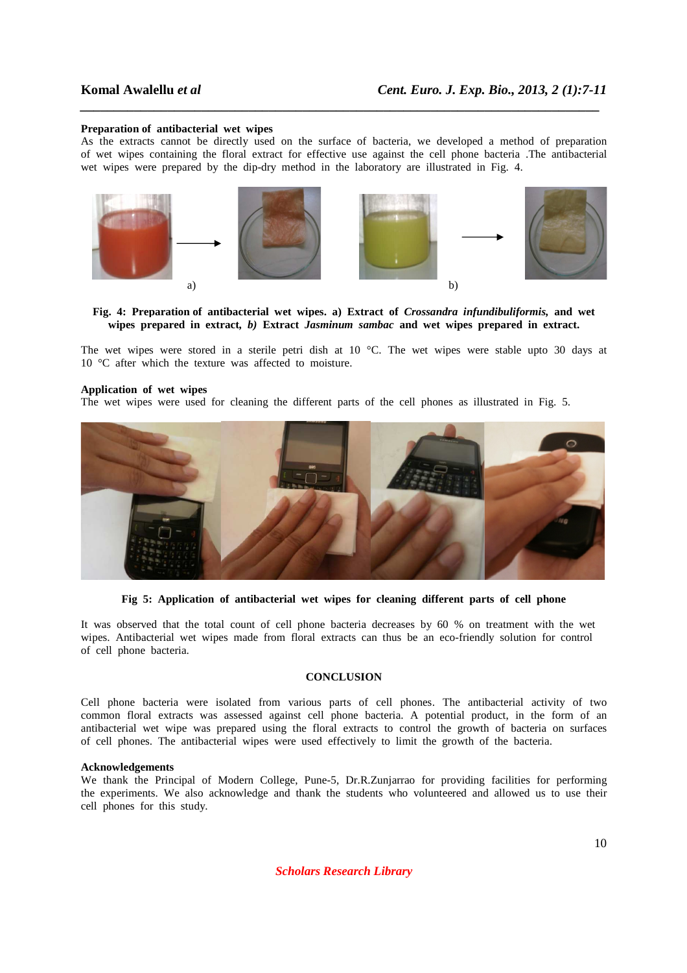### **Preparation of antibacterial wet wipes**

As the extracts cannot be directly used on the surface of bacteria, we developed a method of preparation of wet wipes containing the floral extract for effective use against the cell phone bacteria .The antibacterial wet wipes were prepared by the dip-dry method in the laboratory are illustrated in Fig. 4.

*\_\_\_\_\_\_\_\_\_\_\_\_\_\_\_\_\_\_\_\_\_\_\_\_\_\_\_\_\_\_\_\_\_\_\_\_\_\_\_\_\_\_\_\_\_\_\_\_\_\_\_\_\_\_\_\_\_\_\_\_\_\_\_\_\_\_\_\_\_\_\_\_\_\_\_\_\_*



## **Fig. 4: Preparation of antibacterial wet wipes. a) Extract of** *Crossandra infundibuliformis,* **and wet wipes prepared in extract***, b)* **Extract** *Jasminum sambac* **and wet wipes prepared in extract.**

The wet wipes were stored in a sterile petri dish at 10 °C. The wet wipes were stable upto 30 days at 10 °C after which the texture was affected to moisture.

## **Application of wet wipes**

The wet wipes were used for cleaning the different parts of the cell phones as illustrated in Fig. 5.



**Fig 5: Application of antibacterial wet wipes for cleaning different parts of cell phone** 

It was observed that the total count of cell phone bacteria decreases by 60 % on treatment with the wet wipes. Antibacterial wet wipes made from floral extracts can thus be an eco-friendly solution for control of cell phone bacteria.

## **CONCLUSION**

Cell phone bacteria were isolated from various parts of cell phones. The antibacterial activity of two common floral extracts was assessed against cell phone bacteria. A potential product, in the form of an antibacterial wet wipe was prepared using the floral extracts to control the growth of bacteria on surfaces of cell phones. The antibacterial wipes were used effectively to limit the growth of the bacteria.

#### **Acknowledgements**

We thank the Principal of Modern College, Pune-5, Dr.R.Zunjarrao for providing facilities for performing the experiments. We also acknowledge and thank the students who volunteered and allowed us to use their cell phones for this study.